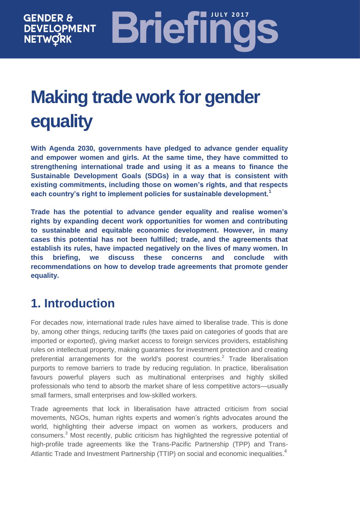# **Briefinc GENDER & DEVELOPMENT NETWORK**

# **Making trade work for gender equality**

**With Agenda 2030, governments have pledged to advance gender equality and empower women and girls. At the same time, they have committed to strengthening international trade and using it as a means to finance the Sustainable Development Goals (SDGs) in a way that is consistent with existing commitments, including those on women's rights, and that respects each country's right to implement policies for sustainable development.<sup>1</sup>**

**Trade has the potential to advance gender equality and realise women's rights by expanding decent work opportunities for women and contributing to sustainable and equitable economic development. However, in many cases this potential has not been fulfilled; trade, and the agreements that establish its rules, have impacted negatively on the lives of many women. In this briefing, we discuss these concerns and conclude with recommendations on how to develop trade agreements that promote gender equality.**

# **1. Introduction**

For decades now, international trade rules have aimed to liberalise trade. This is done by, among other things, reducing tariffs (the taxes paid on categories of goods that are imported or exported), giving market access to foreign services providers, establishing rules on intellectual property, making guarantees for investment protection and creating preferential arrangements for the world's poorest countries.<sup>2</sup> Trade liberalisation purports to remove barriers to trade by reducing regulation. In practice, liberalisation favours powerful players such as multinational enterprises and highly skilled professionals who tend to absorb the market share of less competitive actors—usually small farmers, small enterprises and low-skilled workers.

Trade agreements that lock in liberalisation have attracted criticism from social movements, NGOs, human rights experts and women's rights advocates around the world, highlighting their adverse impact on women as workers, producers and consumers.<sup>3</sup> Most recently, public criticism has highlighted the regressive potential of high-profile trade agreements like the Trans-Pacific Partnership (TPP) and Trans-Atlantic Trade and Investment Partnership (TTIP) on social and economic inequalities.<sup>4</sup>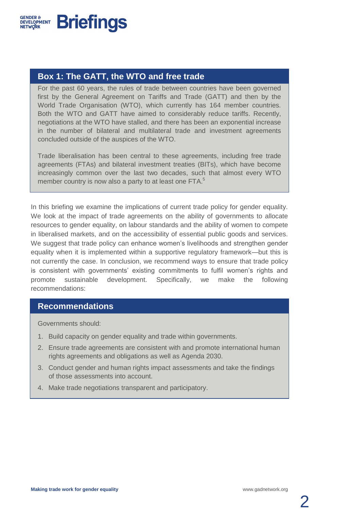

## **Box 1: The GATT, the WTO and free trade**

For the past 60 years, the rules of trade between countries have been governed first by the General Agreement on Tariffs and Trade (GATT) and then by the World Trade Organisation (WTO), which currently has 164 member countries. Both the WTO and GATT have aimed to considerably reduce tariffs. Recently, negotiations at the WTO have stalled, and there has been an exponential increase in the number of bilateral and multilateral trade and investment agreements concluded outside of the auspices of the WTO.

Trade liberalisation has been central to these agreements, including free trade agreements (FTAs) and bilateral investment treaties (BITs), which have become increasingly common over the last two decades, such that almost every WTO member country is now also a party to at least one FTA.<sup>5</sup>

In this briefing we examine the implications of current trade policy for gender equality. We look at the impact of trade agreements on the ability of governments to allocate resources to gender equality, on labour standards and the ability of women to compete in liberalised markets, and on the accessibility of essential public goods and services. We suggest that trade policy can enhance women's livelihoods and strengthen gender equality when it is implemented within a supportive regulatory framework—but this is not currently the case. In conclusion, we recommend ways to ensure that trade policy is consistent with governments' existing commitments to fulfil women's rights and promote sustainable development. Specifically, we make the following recommendations:

#### **Recommendations**

Governments should:

- 1. Build capacity on gender equality and trade within governments.
- 2. Ensure trade agreements are consistent with and promote international human rights agreements and obligations as well as Agenda 2030.
- 3. Conduct gender and human rights impact assessments and take the findings of those assessments into account.
- 4. Make trade negotiations transparent and participatory.

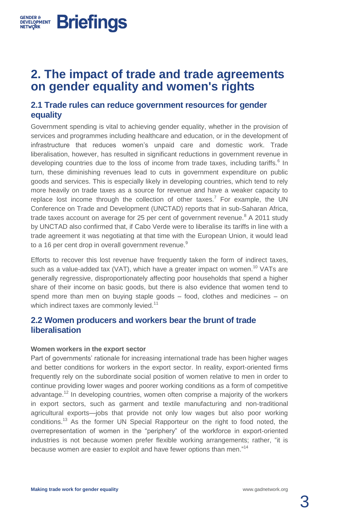# **2. The impact of trade and trade agreements on gender equality and women's rights**

## **2.1 Trade rules can reduce government resources for gender equality**

Government spending is vital to achieving gender equality, whether in the provision of services and programmes including healthcare and education, or in the development of infrastructure that reduces women's unpaid care and domestic work. Trade liberalisation, however, has resulted in significant reductions in government revenue in developing countries due to the loss of income from trade taxes, including tariffs.<sup>6</sup> In turn, these diminishing revenues lead to cuts in government expenditure on public goods and services. This is especially likely in developing countries, which tend to rely more heavily on trade taxes as a source for revenue and have a weaker capacity to replace lost income through the collection of other taxes.<sup>7</sup> For example, the UN Conference on Trade and Development (UNCTAD) reports that in sub-Saharan Africa, trade taxes account on average for 25 per cent of government revenue.<sup>8</sup> A 2011 study by UNCTAD also confirmed that, if Cabo Verde were to liberalise its tariffs in line with a trade agreement it was negotiating at that time with the European Union, it would lead to a 16 per cent drop in overall government revenue.<sup>9</sup>

Efforts to recover this lost revenue have frequently taken the form of indirect taxes, such as a value-added tax (VAT), which have a greater impact on women.<sup>10</sup> VATs are generally regressive, disproportionately affecting poor households that spend a higher share of their income on basic goods, but there is also evidence that women tend to spend more than men on buying staple goods – food, clothes and medicines – on which indirect taxes are commonly levied.<sup>11</sup>

## **2.2 Women producers and workers bear the brunt of trade liberalisation**

#### **Women workers in the export sector**

**GENDER &** 

**DEVELOPMENT Briefings** 

Part of governments' rationale for increasing international trade has been higher wages and better conditions for workers in the export sector. In reality, export-oriented firms frequently rely on the subordinate social position of women relative to men in order to continue providing lower wages and poorer working conditions as a form of competitive advantage.<sup>12</sup> In developing countries, women often comprise a majority of the workers in export sectors, such as garment and textile manufacturing and non-traditional agricultural exports—jobs that provide not only low wages but also poor working conditions.<sup>13</sup> As the former UN Special Rapporteur on the right to food noted, the overrepresentation of women in the "periphery" of the workforce in export-oriented industries is not because women prefer flexible working arrangements; rather, "it is because women are easier to exploit and have fewer options than men."<sup>14</sup>

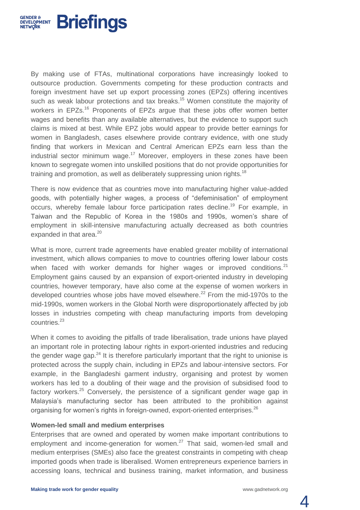

By making use of FTAs, multinational corporations have increasingly looked to outsource production. Governments competing for these production contracts and foreign investment have set up export processing zones (EPZs) offering incentives such as weak labour protections and tax breaks. <sup>15</sup> Women constitute the majority of workers in EPZs.<sup>16</sup> Proponents of EPZs argue that these jobs offer women better wages and benefits than any available alternatives, but the evidence to support such claims is mixed at best. While EPZ jobs would appear to provide better earnings for women in Bangladesh, cases elsewhere provide contrary evidence, with one study finding that workers in Mexican and Central American EPZs earn less than the industrial sector minimum wage.<sup>17</sup> Moreover, employers in these zones have been known to segregate women into unskilled positions that do not provide opportunities for training and promotion, as well as deliberately suppressing union rights.<sup>18</sup>

There is now evidence that as countries move into manufacturing higher value-added goods, with potentially higher wages, a process of "defeminisation" of employment occurs, whereby female labour force participation rates decline.<sup>19</sup> For example, in Taiwan and the Republic of Korea in the 1980s and 1990s, women's share of employment in skill-intensive manufacturing actually decreased as both countries expanded in that area. $^{20}$ 

What is more, current trade agreements have enabled greater mobility of international investment, which allows companies to move to countries offering lower labour costs when faced with worker demands for higher wages or improved conditions. $21$ Employment gains caused by an expansion of export-oriented industry in developing countries, however temporary, have also come at the expense of women workers in developed countries whose jobs have moved elsewhere.<sup>22</sup> From the mid-1970s to the mid-1990s, women workers in the Global North were disproportionately affected by job losses in industries competing with cheap manufacturing imports from developing countries.<sup>23</sup>

When it comes to avoiding the pitfalls of trade liberalisation, trade unions have played an important role in protecting labour rights in export-oriented industries and reducing the gender wage gap.<sup>24</sup> It is therefore particularly important that the right to unionise is protected across the supply chain, including in EPZs and labour-intensive sectors. For example, in the Bangladeshi garment industry, organising and protest by women workers has led to a doubling of their wage and the provision of subsidised food to factory workers.<sup>25</sup> Conversely, the persistence of a significant gender wage gap in Malaysia's manufacturing sector has been attributed to the prohibition against organising for women's rights in foreign-owned, export-oriented enterprises.<sup>26</sup>

#### **Women-led small and medium enterprises**

Enterprises that are owned and operated by women make important contributions to employment and income-generation for women.<sup>27</sup> That said, women-led small and medium enterprises (SMEs) also face the greatest constraints in competing with cheap imported goods when trade is liberalised. Women entrepreneurs experience barriers in accessing loans, technical and business training, market information, and business

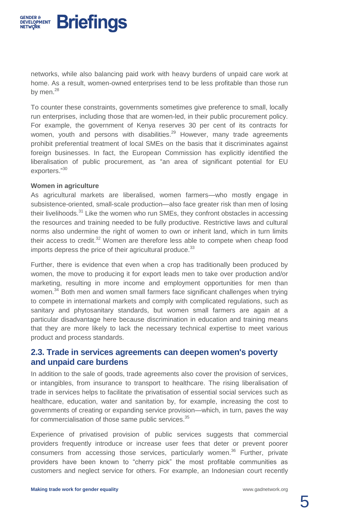

networks, while also balancing paid work with heavy burdens of unpaid care work at home. As a result, women-owned enterprises tend to be less profitable than those run by men.<sup>28</sup>

To counter these constraints, governments sometimes give preference to small, locally run enterprises, including those that are women-led, in their public procurement policy. For example, the government of Kenya reserves 30 per cent of its contracts for women, youth and persons with disabilities.<sup>29</sup> However, many trade agreements prohibit preferential treatment of local SMEs on the basis that it discriminates against foreign businesses. In fact, the European Commission has explicitly identified the liberalisation of public procurement, as "an area of significant potential for EU exporters." 30

#### **Women in agriculture**

As agricultural markets are liberalised, women farmers—who mostly engage in subsistence-oriented, small-scale production—also face greater risk than men of losing their livelihoods.<sup>31</sup> Like the women who run SMEs, they confront obstacles in accessing the resources and training needed to be fully productive. Restrictive laws and cultural norms also undermine the right of women to own or inherit land, which in turn limits their access to credit. $32$  Women are therefore less able to compete when cheap food imports depress the price of their agricultural produce. $33$ 

Further, there is evidence that even when a crop has traditionally been produced by women, the move to producing it for export leads men to take over production and/or marketing, resulting in more income and employment opportunities for men than women.<sup>34</sup> Both men and women small farmers face significant challenges when trying to compete in international markets and comply with complicated regulations, such as sanitary and phytosanitary standards, but women small farmers are again at a particular disadvantage here because discrimination in education and training means that they are more likely to lack the necessary technical expertise to meet various product and process standards.

#### **2.3. Trade in services agreements can deepen women's poverty and unpaid care burdens**

In addition to the sale of goods, trade agreements also cover the provision of services, or intangibles, from insurance to transport to healthcare. The rising liberalisation of trade in services helps to facilitate the privatisation of essential social services such as healthcare, education, water and sanitation by, for example, increasing the cost to governments of creating or expanding service provision—which, in turn, paves the way for commercialisation of those same public services.<sup>35</sup>

Experience of privatised provision of public services suggests that commercial providers frequently introduce or increase user fees that deter or prevent poorer consumers from accessing those services, particularly women.<sup>36</sup> Further, private providers have been known to "cherry pick" the most profitable communities as customers and neglect service for others. For example, an Indonesian court recently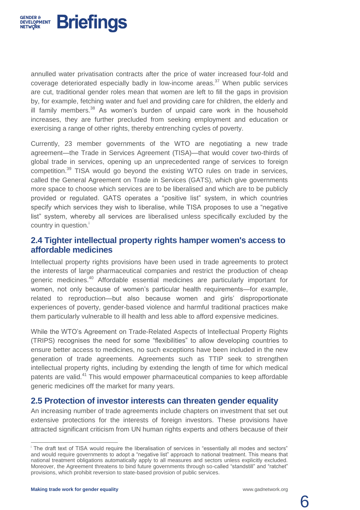

annulled water privatisation contracts after the price of water increased four-fold and coverage deteriorated especially badly in low-income areas. $37$  When public services are cut, traditional gender roles mean that women are left to fill the gaps in provision by, for example, fetching water and fuel and providing care for children, the elderly and ill family members.<sup>38</sup> As women's burden of unpaid care work in the household increases, they are further precluded from seeking employment and education or exercising a range of other rights, thereby entrenching cycles of poverty.

Currently, 23 member governments of the WTO are negotiating a new trade agreement—the Trade in Services Agreement (TISA)—that would cover two-thirds of global trade in services, opening up an unprecedented range of services to foreign competition.<sup>39</sup> TISA would go beyond the existing WTO rules on trade in services, called the General Agreement on Trade in Services (GATS), which give governments more space to choose which services are to be liberalised and which are to be publicly provided or regulated. GATS operates a "positive list" system, in which countries specify which services they wish to liberalise, while TISA proposes to use a "negative list" system, whereby all services are liberalised unless specifically excluded by the country in question.<sup>i</sup>

## **2.4 Tighter intellectual property rights hamper women's access to affordable medicines**

Intellectual property rights provisions have been used in trade agreements to protect the interests of large pharmaceutical companies and restrict the production of cheap generic medicines.<sup>40</sup> Affordable essential medicines are particularly important for women, not only because of women's particular health requirements—for example, related to reproduction—but also because women and girls' disproportionate experiences of poverty, gender-based violence and harmful traditional practices make them particularly vulnerable to ill health and less able to afford expensive medicines.

While the WTO's Agreement on Trade-Related Aspects of Intellectual Property Rights (TRIPS) recognises the need for some "flexibilities" to allow developing countries to ensure better access to medicines, no such exceptions have been included in the new generation of trade agreements. Agreements such as TTIP seek to strengthen intellectual property rights, including by extending the length of time for which medical patents are valid.<sup>41</sup> This would empower pharmaceutical companies to keep affordable generic medicines off the market for many years.

#### **2.5 Protection of investor interests can threaten gender equality**

An increasing number of trade agreements include chapters on investment that set out extensive protections for the interests of foreign investors. These provisions have attracted significant criticism from UN human rights experts and others because of their

 $\overline{a}$ 



<sup>i</sup> The draft text of TISA would require the liberalisation of services in "essentially all modes and sectors" and would require governments to adopt a "negative list" approach to national treatment. This means that national treatment obligations automatically apply to all measures and sectors unless explicitly excluded. Moreover, the Agreement threatens to bind future governments through so-called "standstill" and "ratchet" provisions, which prohibit reversion to state-based provision of public services.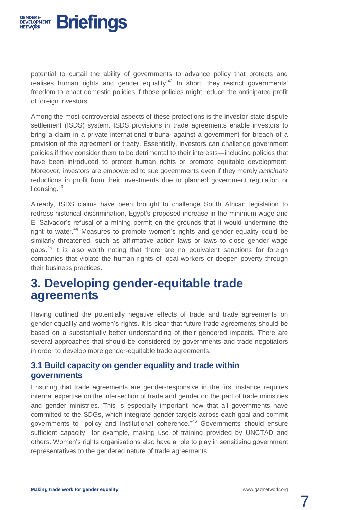

potential to curtail the ability of governments to advance policy that protects and realises human rights and gender equality.<sup>42</sup> In short, they restrict governments' freedom to enact domestic policies if those policies might reduce the anticipated profit of foreign investors.

Among the most controversial aspects of these protections is the investor-state dispute settlement (ISDS) system. ISDS provisions in trade agreements enable investors to bring a claim in a private international tribunal against a government for breach of a provision of the agreement or treaty. Essentially, investors can challenge government policies if they consider them to be detrimental to their interests—including policies that have been introduced to protect human rights or promote equitable development. Moreover, investors are empowered to sue governments even if they merely *anticipate* reductions in profit from their investments due to planned government regulation or licensing.<sup>43</sup>

Already, ISDS claims have been brought to challenge South African legislation to redress historical discrimination, Egypt's proposed increase in the minimum wage and El Salvador's refusal of a mining permit on the grounds that it would undermine the right to water.<sup>44</sup> Measures to promote women's rights and gender equality could be similarly threatened, such as affirmative action laws or laws to close gender wage gaps.<sup>45</sup> It is also worth noting that there are no equivalent sanctions for foreign companies that violate the human rights of local workers or deepen poverty through their business practices.

# **3. Developing gender-equitable trade agreements**

Having outlined the potentially negative effects of trade and trade agreements on gender equality and women's rights, it is clear that future trade agreements should be based on a substantially better understanding of their gendered impacts. There are several approaches that should be considered by governments and trade negotiators in order to develop more gender-equitable trade agreements.

## **3.1 Build capacity on gender equality and trade within governments**

Ensuring that trade agreements are gender-responsive in the first instance requires internal expertise on the intersection of trade and gender on the part of trade ministries and gender ministries. This is especially important now that all governments have committed to the SDGs, which integrate gender targets across each goal and commit governments to "policy and institutional coherence."<sup>46</sup> Governments should ensure sufficient capacity—for example, making use of training provided by UNCTAD and others. Women's rights organisations also have a role to play in sensitising government representatives to the gendered nature of trade agreements.

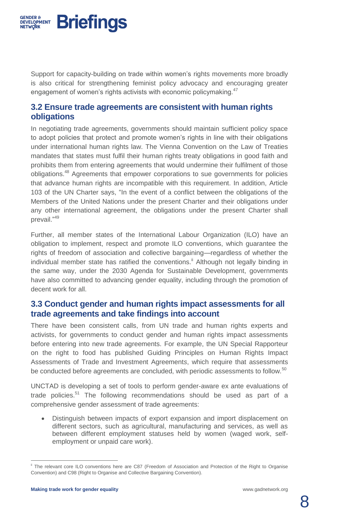

Support for capacity-building on trade within women's rights movements more broadly is also critical for strengthening feminist policy advocacy and encouraging greater engagement of women's rights activists with economic policymaking.<sup>47</sup>

## **3.2 Ensure trade agreements are consistent with human rights obligations**

In negotiating trade agreements, governments should maintain sufficient policy space to adopt policies that protect and promote women's rights in line with their obligations under international human rights law. The Vienna Convention on the Law of Treaties mandates that states must fulfil their human rights treaty obligations in good faith and prohibits them from entering agreements that would undermine their fulfilment of those obligations.<sup>48</sup> Agreements that empower corporations to sue governments for policies that advance human rights are incompatible with this requirement. In addition, Article 103 of the UN Charter says, "In the event of a conflict between the obligations of the Members of the United Nations under the present Charter and their obligations under any other international agreement, the obligations under the present Charter shall prevail."<sup>49</sup>

Further, all member states of the International Labour Organization (ILO) have an obligation to implement, respect and promote ILO conventions, which guarantee the rights of freedom of association and collective bargaining—regardless of whether the individual member state has ratified the conventions.<sup>ii</sup> Although not legally binding in the same way, under the 2030 Agenda for Sustainable Development, governments have also committed to advancing gender equality, including through the promotion of decent work for all.

## **3.3 Conduct gender and human rights impact assessments for all trade agreements and take findings into account**

There have been consistent calls, from UN trade and human rights experts and activists, for governments to conduct gender and human rights impact assessments before entering into new trade agreements. For example, the UN Special Rapporteur on the right to food has published Guiding Principles on Human Rights Impact Assessments of Trade and Investment Agreement*s*, which require that assessments be conducted before agreements are concluded, with periodic assessments to follow.<sup>50</sup>

UNCTAD is developing a set of tools to perform gender-aware ex ante evaluations of trade policies.<sup>51</sup> The following recommendations should be used as part of a comprehensive gender assessment of trade agreements:

 Distinguish between impacts of export expansion and import displacement on different sectors, such as agricultural, manufacturing and services, as well as between different employment statuses held by women (waged work, selfemployment or unpaid care work).

 $\overline{a}$ 



The relevant core ILO conventions here are C87 (Freedom of Association and Protection of the Right to Organise Convention) and C98 (Right to Organise and Collective Bargaining Convention).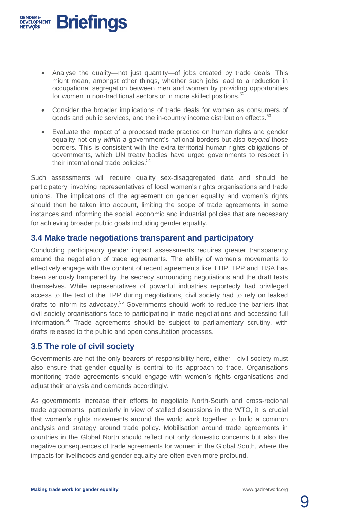

- Analyse the quality—not just quantity—of jobs created by trade deals. This might mean, amongst other things, whether such jobs lead to a reduction in occupational segregation between men and women by providing opportunities for women in non-traditional sectors or in more skilled positions.<sup>52</sup>
- Consider the broader implications of trade deals for women as consumers of goods and public services, and the in-country income distribution effects.<sup>53</sup>
- Evaluate the impact of a proposed trade practice on human rights and gender equality not only *within* a government's national borders but also *beyond* those borders. This is consistent with the extra-territorial human rights obligations of governments, which UN treaty bodies have urged governments to respect in their international trade policies.<sup>54</sup>

Such assessments will require quality sex-disaggregated data and should be participatory, involving representatives of local women's rights organisations and trade unions. The implications of the agreement on gender equality and women's rights should then be taken into account, limiting the scope of trade agreements in some instances and informing the social, economic and industrial policies that are necessary for achieving broader public goals including gender equality.

#### **3.4 Make trade negotiations transparent and participatory**

Conducting participatory gender impact assessments requires greater transparency around the negotiation of trade agreements. The ability of women's movements to effectively engage with the content of recent agreements like TTIP, TPP and TISA has been seriously hampered by the secrecy surrounding negotiations and the draft texts themselves. While representatives of powerful industries reportedly had privileged access to the text of the TPP during negotiations, civil society had to rely on leaked drafts to inform its advocacy.<sup>55</sup> Governments should work to reduce the barriers that civil society organisations face to participating in trade negotiations and accessing full information.<sup>56</sup> Trade agreements should be subject to parliamentary scrutiny, with drafts released to the public and open consultation processes.

#### **3.5 The role of civil society**

Governments are not the only bearers of responsibility here, either—civil society must also ensure that gender equality is central to its approach to trade. Organisations monitoring trade agreements should engage with women's rights organisations and adjust their analysis and demands accordingly.

As governments increase their efforts to negotiate North-South and cross-regional trade agreements, particularly in view of stalled discussions in the WTO, it is crucial that women's rights movements around the world work together to build a common analysis and strategy around trade policy. Mobilisation around trade agreements in countries in the Global North should reflect not only domestic concerns but also the negative consequences of trade agreements for women in the Global South, where the impacts for livelihoods and gender equality are often even more profound.

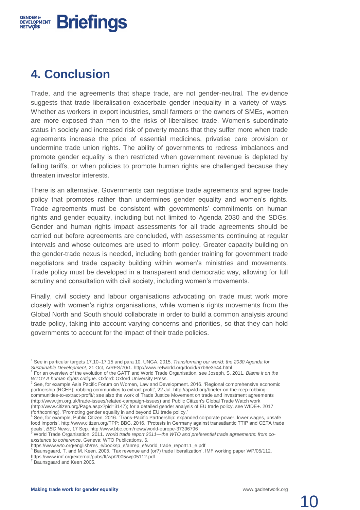

# **4. Conclusion**

Trade, and the agreements that shape trade, are not gender-neutral. The evidence suggests that trade liberalisation exacerbate gender inequality in a variety of ways. Whether as workers in export industries, small farmers or the owners of SMEs, women are more exposed than men to the risks of liberalised trade. Women's subordinate status in society and increased risk of poverty means that they suffer more when trade agreements increase the price of essential medicines, privatise care provision or undermine trade union rights. The ability of governments to redress imbalances and promote gender equality is then restricted when government revenue is depleted by falling tariffs, or when policies to promote human rights are challenged because they threaten investor interests.

There is an alternative. Governments can negotiate trade agreements and agree trade policy that promotes rather than undermines gender equality and women's rights. Trade agreements must be consistent with governments' commitments on human rights and gender equality, including but not limited to Agenda 2030 and the SDGs. Gender and human rights impact assessments for all trade agreements should be carried out before agreements are concluded, with assessments continuing at regular intervals and whose outcomes are used to inform policy. Greater capacity building on the gender-trade nexus is needed, including both gender training for government trade negotiators and trade capacity building within women's ministries and movements. Trade policy must be developed in a transparent and democratic way, allowing for full scrutiny and consultation with civil society, including women's movements.

Finally, civil society and labour organisations advocating on trade must work more closely with women's rights organisations, while women's rights movements from the Global North and South should collaborate in order to build a common analysis around trade policy, taking into account varying concerns and priorities, so that they can hold governments to account for the impact of their trade policies.

 $\overline{\phantom{a}}$ 

<sup>1</sup> See in particular targets 17.10–17.15 and para 10. UNGA. 2015. *Transforming our world: the 2030 Agenda for Sustainable Development*, 21 Oct, A/RES/70/1.<http://www.refworld.org/docid/57b6e3e44.html>

<sup>2</sup> For an overview of the evolution of the GATT and World Trade Organisation, see Joseph, S. 2011. *Blame it on the WTO? A human rights critique*. Oxford: Oxford University Press.

<sup>&</sup>lt;sup>3</sup> See, for example Asia Pacific Forum on Women, Law and Development. 2016. 'Regional comprehensive economic partnership (RCEP): robbing communities to extract profit', 22 Jul. [http://apwld.org/briefer-on-the-rcep-robbing](http://apwld.org/briefer-on-the-rcep-robbing-communities-to-extract-profit/)[communities-to-extract-profit/;](http://apwld.org/briefer-on-the-rcep-robbing-communities-to-extract-profit/) see also the work of Trade Justice Movement on trade and investment agreements (http://www.tjm.org.uk/trade-issues/related-campaign-issues) and Public Citizen's Global Trade Watch work (http://www.citizen.org/Page.aspx?pid=3147); for a detailed gender analysis of EU trade policy, see WIDE+. 2017 (forthcoming). 'Promoting gender equality in and beyond EU trade policy.'

See, for example, Public Citizen. 2016. 'Trans-Pacific Partnership: expanded corporate power, lower wages, unsafe food imports'[. http://www.citizen.org/TPP;](http://www.citizen.org/TPP) BBC. 2016. 'Protests in Germany against transatlantic TTIP and CETA trade deals', *BBC News*, 17 Sep[. http://www.bbc.com/news/world-europe-37396796](http://www.bbc.com/news/world-europe-37396796)

<sup>5</sup> World Trade Organisation. 2011. *World trade report 2011—the WTO and preferential trade agreements: from coexistence to coherence*. Geneva: WTO Publications, 6.

[https://www.wto.org/english/res\\_e/booksp\\_e/anrep\\_e/world\\_trade\\_report11\\_e.pdf](https://www.wto.org/english/res_e/booksp_e/anrep_e/world_trade_report11_e.pdf)

<sup>6</sup> Baunsgaard, T. and M. Keen. 2005. 'Tax revenue and (or?) trade liberalization', IMF working paper WP/05/112. <https://www.imf.org/external/pubs/ft/wp/2005/wp05112.pdf>

Baunsgaard and Keen 2005.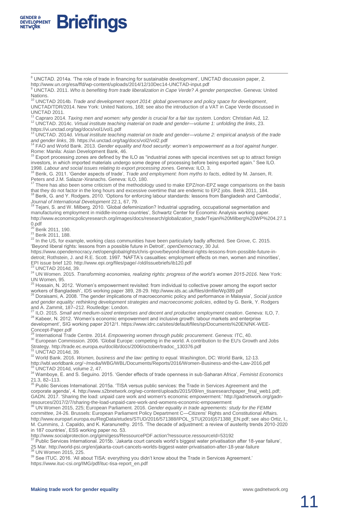

<sup>9</sup> UNCTAD. 2011. *Who is benefiting from trade liberalization in Cape Verde? A gender perspective*. Geneva: United **Nations** 

<sup>10</sup> UNCTAD 2014b*. Trade and development report 2014: global governance and policy space for development*, UNCTAD/TDR/2014. New York: United Nations, 168; see also the introduction of a VAT in Cape Verde discussed in UNCTAD 2011.

<sup>11</sup> Capraro 2014. *Taxing men and women: why gender is crucial for a fair tax system*. London: Christian Aid, 12. <sup>12</sup> UNCTAD. 2014c. *Virtual institute teaching material on trade and gender—volume 1: unfolding the links*, 23.

<https://vi.unctad.org/tag/docs/vol1/vol1.pdf>

**Briefings** 

<sup>13</sup> UNCTAD. 2014d. *Virtual institute teaching material on trade and gender—volume 2: empirical analysis of the trade* 

*and gender links*, 39[. https://vi.unctad.org/tag/docs/vol2/vol2.pdf](https://vi.unctad.org/tag/docs/vol2/vol2.pdf) <sup>14</sup> FAO and World Bank. 2013. *Gender equality and food security: women's empowerment as a tool against hunger*. Rome: Manila: Asian Development Bank, 46.

Export processing zones are defined by the ILO as "industrial zones with special incentives set up to attract foreign investors, in which imported materials undergo some degree of processing before being exported again." See ILO. 1998. *Labour and social issues relating to export processing zone*s. Geneva: ILO, 3.

<sup>16</sup> Berik, G. 2011. 'Gender aspects of trade', *Trade and employment: from myths to facts*, edited by M. Jansen, R. Peters and J.M. Salazar-Xiranachs. Geneva: ILO, 180.

There has also been some criticism of the methodology used to make EPZ/non-EPZ wage comparisons on the basis that they do not factor in the long hours and excessive overtime that are endemic to EPZ jobs. Berik 2011, 184.

<sup>18</sup> Berik, G. and Y. Rodgers. 2010. 'Options for enforcing labour standards: lessons from Bangladesh and Cambodia',

*Journal of International Development* 22.1, 67, 79. <sup>19</sup> Tejani, S. and W. Milberg. 2010. 'Global defeminization? Industrial upgrading, occupational segmentation and manufacturing employment in middle-income countries', Schwartz Center for Economic Analysis working paper. [http://www.economicpolicyresearch.org/images/docs/research/globalization\\_trade/Tejani%20Milberg%20WP%204.27.1](http://www.economicpolicyresearch.org/images/docs/research/globalization_trade/Tejani%20Milberg%20WP%204.27.10.pdf)

[0.pdf](http://www.economicpolicyresearch.org/images/docs/research/globalization_trade/Tejani%20Milberg%20WP%204.27.10.pdf)<br><sup>20</sup> Berik 2011, 190.

 $\overline{a}$ 

**GENDER &** 

**DEVELOPMENT NETWORK** 

<sup>21</sup> Berik 2011, 188.

 $22$  In the US, for example, working class communities have been particularly badly affected. See Grove, C. 2015. 'Beyond liberal rights: lessons from a possible future in Detroit', *openDemocracy*, 30 Jul.

[https://www.opendemocracy.net/openglobalrights/chris-grove/beyond-liberal-rights-lessons-from-possible-future-in](https://www.opendemocracy.net/openglobalrights/chris-grove/beyond-liberal-rights-lessons-from-possible-future-in-detroit)[detroit;](https://www.opendemocracy.net/openglobalrights/chris-grove/beyond-liberal-rights-lessons-from-possible-future-in-detroit) Rothstein, J. and R.E. Scott. 1997. 'NAFTA's casualties: employment effects on men, women and minorities', EPI issue brief 120[. http://www.epi.org/files/page/-/old/issuebriefs/ib120.pdf](http://www.epi.org/files/page/-/old/issuebriefs/ib120.pdf) <sup>23</sup> UNCTAD 2014d, 39.

<sup>24</sup> UN Women. 2015. *Transforming economies, realizing rights: progress of the world's women 2015-2016*. New York:

UN Women, 95.<br><sup>25</sup> Hossain, N. 2012. 'Women's empowerment revisited: from individual to collective power among the export sector

workers of Bangladesh', IDS working paper 389, 28-29[. http://www.ids.ac.uk/files/dmfile/Wp389.pdf](http://www.ids.ac.uk/files/dmfile/Wp389.pdf) <sup>26</sup> Doraisami, A. 2008. 'The gender implications of macroeconomic policy and performance in Malaysia', *Social justice and gender equality: rethinking development strategies and macroeconomic policies*, edited by G. Berik, Y. Rodgers and A. Zammit, 187–212. Routledge: London.

<sup>27</sup> ILO. 2015. *Small and medium-sized enterprises and decent and productive employment creation*. Geneva: ILO, 7. <sup>28</sup> Kabeer, N. 2012. 'Women's economic empowerment and inclusive growth: labour markets and enterprise development', SIG working paper 2012/1[. https://www.idrc.ca/sites/default/files/sp/Documents%20EN/NK-WEE-](https://www.idrc.ca/sites/default/files/sp/Documents%20EN/NK-WEE-Concept-Paper.pdf)[Concept-Paper.pdf](https://www.idrc.ca/sites/default/files/sp/Documents%20EN/NK-WEE-Concept-Paper.pdf)

<sup>29</sup> International Trade Centre. 2014. *Empowering women through public procurement*. Geneva: ITC, 40.

<sup>30</sup> European Commission. 2006. 'Global Europe: competing in the world. A contribution to the EU's Growth and Jobs Strategy[. http://trade.ec.europa.eu/doclib/docs/2006/october/tradoc\\_130376.pdf](http://trade.ec.europa.eu/doclib/docs/2006/october/tradoc_130376.pdf) <sup>31</sup> UNCTAD 2014d, 39.

<sup>32</sup> World Bank. 2016. *Women, business and the law: getting to equal*. Washington, DC: World Bank, 12-13.

<http://wbl.worldbank.org/~/media/WBG/WBL/Documents/Reports/2016/Women-Business-and-the-Law-2016.pdf> <sup>33</sup> UNCTAD 2014d, volume 2, 47.

<sup>34</sup> Wamboye, E. and S. Seguino. 2015. 'Gender effects of trade openness in sub-Saharan Africa', *Feminist Economics*

21.3, 82–113. <sup>35</sup> Public Services International. 2015a. 'TISA versus public services: the Trade in Services Agreement and the corporate agenda', 4. http://www.s2bnetwork.org/wp-content/uploads/2015/09/en\_tisaresearchpaper\_final\_web1.pdf; GADN. 2017. 'Sharing the load: unpaid care work and women's economic empowerment.' [http://gadnetwork.org/gadn](http://gadnetwork.org/gadn-resources/2017/2/7/sharing-the-load-unpaid-care-work-and-womens-economic-empowerment)[resources/2017/2/7/sharing-the-load-unpaid-care-work-and-womens-economic-empowerment](http://gadnetwork.org/gadn-resources/2017/2/7/sharing-the-load-unpaid-care-work-and-womens-economic-empowerment) <sup>36</sup> UN Women 2015, 225; European Parliament. 2016. *Gender equality in trade agreements: study for the FEMM* 

*committee*, 24-26. Brussels: European Parliament Policy Department C—Citizens' Rights and Constitutional Affairs. [http://www.europarl.europa.eu/RegData/etudes/STUD/2016/571388/IPOL\\_STU\(2016\)571388\\_EN.pdf;](http://www.europarl.europa.eu/RegData/etudes/STUD/2016/571388/IPOL_STU(2016)571388_EN.pdf) see also Ortiz, I., M. Cummins, J. Capaldo, and K. Karanunethy. 2015. 'The decade of adjustment: a review of austerity trends 2010-2020 in 187 countries', ESS working paper no. 53.

<http://www.socialprotection.org/gimi/gess/RessourcePDF.action?ressource.ressourceId=53192><br><sup>37</sup> Public Services International. 2015b. 'Jakarta court cancels world's biggest water privatisation after 18-year failure', 25 Mar[. http://world-psi.org/en/jakarta-court-cancels-worlds-biggest-water-privatisation-after-18-year-failure](http://world-psi.org/en/jakarta-court-cancels-worlds-biggest-water-privatisation-after-18-year-failure)

<sup>38</sup> UN Women 2015, 225.

<sup>39</sup> See ITUC. 2016. 'All about TISA: everything you didn't know about the Trade in Services Agreement.' [https://www.ituc-csi.org/IMG/pdf/ituc-tisa-report\\_en.pdf](https://www.ituc-csi.org/IMG/pdf/ituc-tisa-report_en.pdf)

11